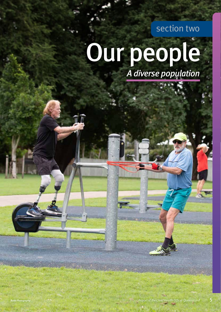section two

# Our people *A diverse population*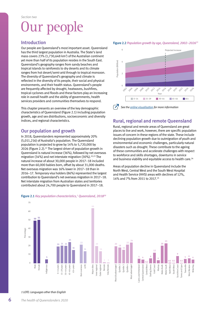## Our people

## Introduction

Our people are Queensland's most important asset. Queensland has the third largest population in Australia. The State's land mass covers 23% (1,730,648 km<sup>2</sup>) of the Australian continent yet more than half of its population resides in the South East. Queensland's geography ranges from sandy beaches and tropical islands to rainforests to dry deserts and its climate ranges from hot desert/semi-arid through to tropical monsoon. The diversity of Queensland's geography and climate is reflected in the diversity of its people, their social and physical environments, and their health status. Queensland's people are frequently affected by drought, heatwaves, bushfires, tropical cyclones and floods and these factors play an increasing role in overall health and the ability of governments, health services providers and communities themselves to respond.

This chapter presents an overview of the key demographic characteristics of Queensland (Figure 2.1) including population growth, age and sex distributions, socioeconomic and diversity indices, and regional characteristics.

## Our population and growth

In 2018, Queenslanders represented approximately 20% (5,011,216) of Australia's population. The Queensland population is projected to grow by 14% to 5,720,000 by 2026 (Figure 2.2).<sup>21</sup> The largest driver of population growth in Queensland is natural increase (36%), followed by net overseas migration (34%) and net interstate migration (30%).<sup>22,23</sup> The natural increase of about 30,000 people in 2017–18 included more than 60,000 babies born, offset by about 31,000 deaths. Net overseas migration was 16% lower in 2017–18 than in 2016–17. Temporary visa holders (86%) represented the largest contribution to Queensland's net overseas migration in 2017–18. Net interstate migration from Australian states and territories contributed about 24,700 people to Queensland in 2017–18.

#### Figure 2.1 *Key population characteristics,1 Queensland, 201820*



Figure 2.2 *Population growth by age, Queensland, 2002–202621*



## Rural, regional and remote Queensland

Rural, regional and remote areas of Queensland are great places to live and work, however, there are specific population issues of concern in these regions of the state. These include declining population growth due to outmigration of youth and environmental and economic challenges, particularly natural disasters such as drought. These contribute to the ageing of these communities and accelerate challenges with respect to workforce and skills shortages, downturns in service and business viability and equitable access to health care.<sup>24</sup>

Areas of population decline in Queensland include the North West, Central West and the South West Hospital and Health Service (HHS) areas with declines of 12%, 14% and 7% from 2011 to 2017.25





Wide Bay

*1 LOTE: Languages other than English*

70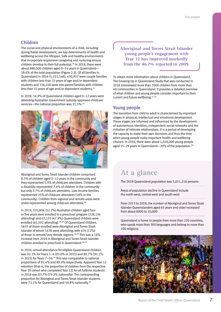## Children

The social and physical environments of a child, including during foetal development, are key determinants of health and wellbeing across the lifespan. Safe and healthy environments that incorporate responsive caregiving and nurturing ensure children develop to their full potential.<sup>26</sup> In 2018, there were about 980,000 children aged 0–14 years in Queensland— 19.6% of the total population (Figure 2.2). Of all families in Queensland in 2016 (1,221,148), 430,937 were couple families with children less than 15 years of age and/or dependent students and 136,240 were one-parent families with children less than 15 years of age and/or dependent students.23

In 2019, 34.9% of Queensland children aged 0–12 years were attending Australian Government subsidy approved childcare services—the national proportion was 31.5%.<sup>24</sup>



Aboriginal and Torres Strait Islander children comprised 8.3% of children aged 0–12 years in the community and they represented 5.9% of childcare attendees. Children with a disability represented 7.4% of children in the community but only 2.7% of childcare attendees. Low income families represented 25% of childcare attendees (18% in the community). Children from regional and remote areas were under-represented among childcare attendees.28

In 2019, 335,804 (52.2%) Australian children aged four or five years were enrolled in a preschool program (328,134 attending) and 63,135 (47.9%) Queensland children were enrolled (61,592 attending).<sup>28,29</sup> Of Queensland children, 5637 of those enrolled were Aboriginal and Torres Strait Islander of whom 5430 were attending, with 676 (12%) of those in remote/very remote regions.28,29 This was a 16% increase from 2018 in Aboriginal and Torres Strait Islander children enrolled in preschool in Queensland.28,29

In 2019, school attendance for eligible Queensland children was 92.1% for Years 1–6 (93.0% in 2015) and 89.7% (91.1% in 2015) for Years  $7-10$ .<sup>30</sup> This was comparable to national proportions of 92.4% and 89.9% respectively. Apparent Year 12 retention (that is, the proportion of children from the respective Year 10 cohort who completed Year 12) for all fulltime students in 2018 was 83.7% (79.2% nationally). The corresponding proportion for Aboriginal and Torres Strait Islander students were 73.1% for Queensland and 59.8% nationally.<sup>30</sup>

**Aboriginal and Torres Strait Islander young people's engagement with Year 12 has improved markedly from the 46.7% reported in 2009.**

To obtain more information about children in Queensland, The Growing Up in Queensland Study that was conducted in 2018 interviewed more than 7000 children from more than 40 communities in Queensland. It provides a detailed overview of what children and young people consider important to their current and future wellbeing.<sup>31,32</sup>

## Young people

The transition from child to adult is characterised by important stages in physical, intellectual and emotional development. These stages are informed and influenced by the development of autonomous identities, independent social networks and the initiation of intimate relationships. It is a period of developing the capacity to make their own decisions and thus the time when young people make important health and wellbeing choices. In 2018, there were about 1,020,000 young people aged 15-29 years in Queensland-20% of the population.<sup>20</sup>

## **At a glance**

The 2018 Queensland population was 5,011,216 persons

Areas of population decline in Queensland include the north-west, central-west and south-west

From 2013 to 2018, the number of Aboriginal and Torres Strait Islander Queenslanders aged 65 years and older increased from about 6900 to 10,000

Queensland is home to people from more than 220 countries, who speak more than 300 languages and belong to more than 100 religions

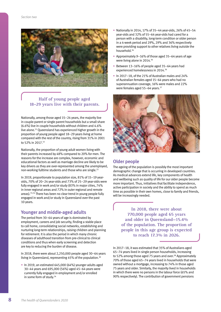

### **Half of young people aged 18–29 years live with their parents.**

Nationally, among those aged 15–24 years, the majority live in couple-parent or single parent households but a small share (6.6%) live in couple households without children and 4.6% live alone.33 Queensland has experienced higher growth in the proportion of young people aged 18–29 years living at home compared with the rest of the country, rising from 31% in 2001 to 52% in 2017.<sup>33</sup>

Nationally, the proportion of young adult women living with their parents increased by 48% compared to 20% for men. The reasons for the increase are complex, however, economic and educational factors as well as marriage decline are likely to be key drivers as they are over-represented among the unemployed, non-working fulltime students and those who are single.<sup>33</sup>

In 2019, proportionate to population size, 81% of 15–19 yearolds, 70% of 20–24 year-olds and 73% of 25–29 year-olds were fully engaged in work and/or study (83% in major cities, 74% in inner regional areas and 72% in outer regional and remote areas).33,34 There has been no clear trend in young people fully engaged in work and/or study in Queensland over the past 10 years.

## Younger and middle-aged adults

The period from 30–64 years of age is dominated by employment, careers and job security, finding a stable place to call home, consolidating social networks, establishing and nurturing long-term relationships, raising children and planning for retirement. It is also the period in which many chronic diseases of adulthood transition from pre-clinical to clinical conditions and thus when early screening and detection are key to reducing the burden of disease.

In 2018, there were about 2,250,000 people aged 30–64 years living in Queensland, representing 45% of the population.20

• In 2019, an estimated 645,000 (64%) younger adults aged 30–44 years and 695,000 (56%) aged 45–64 years were currently fully engaged in employment and/or enrolled in some form of study.<sup>34</sup>

- Nationally in 2014, 17% of 35–44 year-olds, 26% of 45–54 year-olds and 32% of 55–64 year-olds had cared for a person with a disability, long-term condition or older person in a 4-week period and 29%, 29% and 36% respectively were providing support to other relatives living outside the household.36
- Approximately 9–16% of those aged 35–64 years of age were living alone in 2014.<sup>36</sup>
- Between 13–16% of people aged 35–64 years had experienced homelessness in 2014.36
- In 2017–18, of the 21% of Australian males and 24% of Australian females aged 15–64 years who had no superannuation coverage, 16% were males and 22% were females aged 55-64 years.<sup>37</sup>



#### Older people

The ageing of the population is possibly the most important demographic change that is occurring in developed countries. As medical advances extend life, key components of health and wellbeing such as quality of life for our older people become more important. Thus, initiatives that facilitate independence, active participation in society and the ability to spend as much time as possible in their own homes, close to family and friends, will be increasingly needed.

**In 2018, there were about 770,000 people aged 65 years and older in Queensland—15.4% of the population. The proportion of people in this age group is expected to reach 17.3% in 2026.**

In 2017–18, it was estimated that 35% of Australians aged 65–74 years lived in single person households, increasing to 52% among those aged 75 years and over.<sup>38</sup> Approximately 70% of those aged 65–74 years lived in households that were owned without a mortgage, increasing to 74% in those aged 75 years and older. Similarly, the majority lived in households in which there were no persons in the labour force (65% and 90% respectively). The contribution of government pensions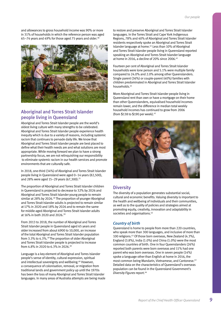and allowances to gross household income was 90% or more in 31% of households in which the reference person was aged 65–74 years and 49% for those aged 75 years and older. $38$ 



## Aboriginal and Torres Strait Islander people living in Queensland

Aboriginal and Torres Strait Islander people are the world's oldest living culture with many strengths to be celebrated. Aboriginal and Torres Strait Islander people experience health inequity which is due to a variety of reasons, including systemic racism that continues to pervade daily life. We know that Aboriginal and Torres Strait Islander people are best placed to define what their health needs are and what solutions are most appropriate. While moving forward we plan to have a strong partnership focus, we are not relinquishing our responsibility to eliminate systemic racism in our health services and promote environments that are culturally safe.

In 2018, one-third (34%) of Aboriginal and Torres Strait Islander people living in Queensland were aged 0–14 years (82,500), and 28% were aged 15-29 years (67,300).<sup>21</sup>

The proportion of Aboriginal and Torres Strait Islander children in Queensland is projected to decrease to 32% by 2026 and Aboriginal and Torres Strait Islander young people to remain similar at 28% by 2026.<sup>39</sup> The proportion of younger Aboriginal and Torres Strait Islander adults is projected to remain similar at 17% in 2020 and 18% by 2026 and to remain the same for middle-aged Aboriginal and Torres Strait Islander adults at 16% in both 2020 and 2026.39

From 2013 to 2018, the number of Aboriginal and Torres Strait Islander people in Queensland aged 65 years and older increased from about 6900 to 10,000, an increase of the total Aboriginal and Torres Strait Islander population from 3.3% to 4.3%.<sup>39</sup> The proportion of older Aboriginal and Torres Strait Islander people is projected to increase from 4.8% in 2020 to 6.3% in 2026.39

Language is a key element of Aboriginal and Torres Islander people's sense of identity, cultural expression, spiritual and intellectual sovereignty and wellbeing.40 However, a consequence of colonisation, removal, or migration from traditional lands and government policy up until the 1970s has been the loss of many Aboriginal and Torres Strait Islander languages. In many areas of Australia attempts are being made to restore and preserve Aboriginal and Torres Strait Islander languages. In the Torres Strait and Cape York Indigenous Regions, 78% and 40% of Aboriginal and Torres Strait Islander residents respectively spoke an Aboriginal and Torres Strait Islander language at home.41 Less than 10% of Aboriginal and Torres Strait Islander people living in Queensland reported speaking an Aboriginal and Torres Strait Islander language at home in 2016, a decline of 20% since 2006.<sup>41</sup>

Fourteen per cent of Aboriginal and Torres Strait Islander households were lone person and 5.1% were multiple family compared to 24.0% and 2.0% among other Queenslanders. Single parent (36%) or couple-parent (40%) families with children predominated in Aboriginal and Torres Strait Islander households.<sup>41</sup>

More Aboriginal and Torres Strait Islander people living in Queensland rent than own or have a mortgage on their home than other Queenslanders, equivalised household incomes remain lower, and the difference in median total weekly household incomes has continued to grow from 2006 (from \$138 to \$190 per week).41



## **Diversity**

The diversity of a population generates substantial social, cultural and economic benefits. Valuing diversity is important to the health and wellbeing of individuals and their communities, as well as to the quality of policies and strategies aimed at promoting equity, creativity, innovation and adaptability in societies and organisations.<sup>42</sup>

#### *Country of birth*

Queensland is home to people from more than 220 countries, who speak more than 300 languages, and inclusive of more than 100 religions.43 Of those born overseas, New Zealand (4.3%), England (3.8%), India (1.0%) and China (1.0%) were the most common countries of birth. One in four Queenslanders (26%) reported both parents were born overseas and 11% had one parent who was born overseas. One in seven people (14%) spoke a language other than English at home in 2016, the most common being Mandarin, Vietnamese, and Cantonese.43 Detailed data on the characteristics of Queensland's overseas population can be found in the Queensland Government's **Diversity Figures report.**<sup>44</sup>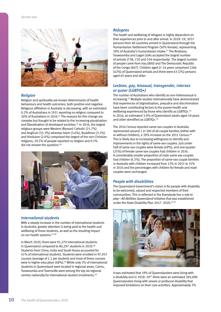

#### *Religion*

Religion and spirituality are known determinants of health behaviours and health outcomes, both positive and negative. Religious affiliation in Australia is decreasing, with an estimated 0.2% of Australians in 1911 reporting no religion compared to 30% of Australians in 2016.45 The reasons for this change are complex but thought to be related to the increasing pluralisation and liberalisation of developed societies.45 In 2016, the largest religious groups were Western (Roman) Catholic (21.7%) and Anglican (15.3%) whereas Islam (3.6%), Buddhism (3.2%) and Hinduism (2.6%) comprised the largest of the non-Christian religions; 29.5% of people reported no religion and 9.5% did not answer the question.<sup>46</sup>



#### *International students*

With a steady increase in the number of international students in Australia, greater attention is being paid to the health and wellbeing of these students, as well as the resulting impact on our health systems. 47,48

In March 2020, there were 91,270 international students in Queensland compared to 80,297 students in 2010.<sup>48</sup> Students from China, India and South Korea accounted for 41% of international students. Students were enrolled in 97,957 courses (average of 1.1 per student) and most of these courses were in higher education (48%).<sup>49</sup> While only 5% of international students in Queensland were located in regional areas, Cairns, Toowoomba and Townsville were among the top six regional centres nationally for international student enrolments.50

#### *Refugees*

The health and wellbeing of refugees is highly dependent on their experiences prior to and after arrival. In 2018–19, 3037 persons from 48 countries arrived in Queensland through the Humanitarian Settlement Program (50% female), representing 18% of Australia's humanitarian intake.<sup>51</sup> The Brisbane, Toowoomba and Logan LGAs accepted the largest number of arrivals (738, 720 and 556 respectively). The largest number of people came from Iraq (800) and The Democratic Republic of the Congo (607). Children aged 0–14 years comprised 1266 (42%) of Queensland arrivals and there were 63 (2%) persons aged 65 years and older.

#### *Lesbian, gay, bisexual, transgender, intersex or queer (LGBTIQ+)*

The number of Australians who identify as non-heterosexual is increasing.52 Multiple studies internationally have demonstrated that experiences of stigmatisation, prejudice and discrimination have been contributing factors to the poorer health and wellbeing experienced by those who identify as LGBTIQ+.<sup>53</sup> In 2016, an estimated 3.0% of Queensland adults aged 18 years and older identified as LGBTIQ+.<sup>52</sup>

The 2016 Census reported same-sex couples in Australia represented around 1 in 100 of all couple families (either with or without children), a 39% increase on the 2011 Census.46 This is likely due to increasing willingness to identify and improvements in the rights of same-sex couples. Just under half of same-sex couples were female (49%), and one-quarter (25%) of female same-sex couples had children in 2016. A considerably smaller proportion of male same-sex couples had children (4.5%). The proportion of same-sex couple families in Australia with children increased from 12% in 2011 to 15% in 2016 and the percentages with children for female and male couples were unchanged.

#### *People with disabilities*

The Queensland Government's vision is for people with disability to be welcomed, valued and respected members of their communities. This is reflected in the *Everybody has a role to play—All Abilities Queensland* initiative that was established under the State Disability Plan 2017-2020.<sup>54,55</sup>



It was estimated that 19% of Queenslanders were living with a disability and in 2018–1923 there were an estimated 285,000 Queenslanders living with severe or profound disability that imposed limitations on their core activities. Approximately 3%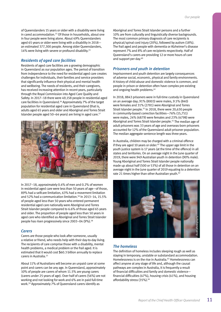of Queenslanders 15 years or older with a disability were living in cared accommodation.23 Of those in households, about one in four people were living alone. About 49% Queenslanders aged 65 years or older were living with a disability in 2018 an estimated 377,300 people. Among older Queenslanders, 14% were living with severe or profound disability.<sup>23</sup>

#### *Residents of aged care facilities*

Residents of aged care facilities are a growing demographic in Queensland as our population ages. The period of transition from independence to the need for residential aged care creates challenges for individuals, their families and service providers that significantly influence their physical and mental health and wellbeing. The needs of residents, and their caregivers, has received increasing attention in recent years, particularly through the Royal Commission into Aged Care Quality and Safety. In 2017–18 there were 49,158 people in residential aged care facilities in Queensland.56 Approximately 7% of the target population for residential aged care in Queensland (that is, adults aged 65 years and older and Aboriginal and Torres Strait Islander people aged 50–64 years) are living in aged care.<sup>57</sup>



In 2017–18, approximately 0.4% of men and 0.2% of women in residential aged care were less than 50 years of age—of those, 89% had a selfcare limitation, 63% had a movement limitation and 52% had a communication limitation.<sup>58</sup> In 2013-14, 15.5% of people aged less than 50 years who entered permanent residential aged care nationally were Aboriginal and Torres Strait Islander people compared to 6.6% of those aged 65 years and older. The proportion of people aged less than 50 years in aged care who identified as Aboriginal and Torres Strait Islander people has risen progressively since 2003-04 (9%).<sup>58</sup>

#### *Carers*

Carers are those people who look after someone, usually a relative or friend, who needs help with their day-to-day living. The recipients of care comprise those with a disability, mental health problems, a medical problem or the frail aged. It is estimated that it would cost \$60.3 billion annually to replace carers in Australia.23

About 11% of Australians will become an unpaid carer at some point and carers can be any age. In Queensland, approximately 10% of people are carers of whom 11.5% are young carers (carers under 25 years of age). Over half of carers (56%) are not working and not looking for work and 6% are in paid full-time work.59 Approximately 7% of Queensland carers identify as

Aboriginal and Torres Strait Islander persons and a further 10% are from culturally and linguistically diverse backgrounds. The most common primary diagnosis of care recipients is physical/spinal cord injury (20%), followed by autism (18%). The frail aged and people with dementia or Alzheimer's disease represent 7% and 8% of care recipients respectively. Half of Queensland's carers are providing 12 or more hours of care and support per day.<sup>60</sup>

#### *Prisoners and youth in detention*

Imprisonment and youth detention are largely consequences of adverse social, economic, physical and family environments. A history of child-abuse and domestic violence is common, and people in prison or detention often have complex pre-existing and ongoing health problems.<sup>61</sup>

In 2018, 8843 prisoners were in full-time custody in Queensland on an average day; 91% (8003) were males, 9.5% (840) were females and 31% (2781) were Aboriginal and Torres Strait Islander people.35 In 2018, there were 20,630 people in community-based correction facilities—76% (15,751) were males, 24% (4879) were females and 23% (4798) were Aboriginal and Torres Strait Islander people.35 The median age of adult prisoners was 33 years of age and overseas-born prisoners accounted for 12% of the Queensland adult prisoner population. The median aggregate sentence length was three years.

In Australia, children may be charged with a criminal offence if they are aged 10 years or older.<sup>62</sup> The upper age limit in the youth justice system is 17 years (at the time of the offence) in all states and territories. On an average night in the June quarter of 2019, there were 949 Australian youth in detention (90% male). Young Aboriginal and Torres Strait Islander people nationally made up about half (500 or 53%) of all those in detention on an average night in the June quarter of 2019 equating to a detention rate 21 times higher than other Australian youth.<sup>62</sup>



#### *The homeless*

The definition of homeless includes sleeping rough as well as staying in temporary, unstable or substandard accommodation. Homelessness is on the rise in Australia.<sup>63</sup> Homelessness can affect anyone at any stage of life and, although the causal pathways are complex in Australia, it is frequently a result of financial difficulties and family and domestic violence financial difficulties (47%), housing crisis (41%), and housing affordability stress (35%).<sup>64</sup>